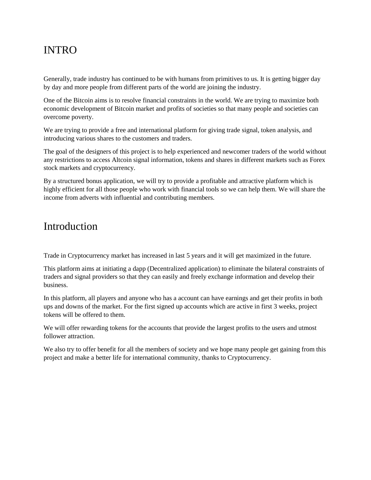# INTRO

Generally, trade industry has continued to be with humans from primitives to us. It is getting bigger day by day and more people from different parts of the world are joining the industry.

One of the Bitcoin aims is to resolve financial constraints in the world. We are trying to maximize both economic development of Bitcoin market and profits of societies so that many people and societies can overcome poverty.

We are trying to provide a free and international platform for giving trade signal, token analysis, and introducing various shares to the customers and traders.

The goal of the designers of this project is to help experienced and newcomer traders of the world without any restrictions to access Altcoin signal information, tokens and shares in different markets such as Forex stock markets and cryptocurrency.

By a structured bonus application, we will try to provide a profitable and attractive platform which is highly efficient for all those people who work with financial tools so we can help them. We will share the income from adverts with influential and contributing members.

## Introduction

Trade in Cryptocurrency market has increased in last 5 years and it will get maximized in the future.

This platform aims at initiating a dapp (Decentralized application) to eliminate the bilateral constraints of traders and signal providers so that they can easily and freely exchange information and develop their business.

In this platform, all players and anyone who has a account can have earnings and get their profits in both ups and downs of the market. For the first signed up accounts which are active in first 3 weeks, project tokens will be offered to them.

We will offer rewarding tokens for the accounts that provide the largest profits to the users and utmost follower attraction.

We also try to offer benefit for all the members of society and we hope many people get gaining from this project and make a better life for international community, thanks to Cryptocurrency.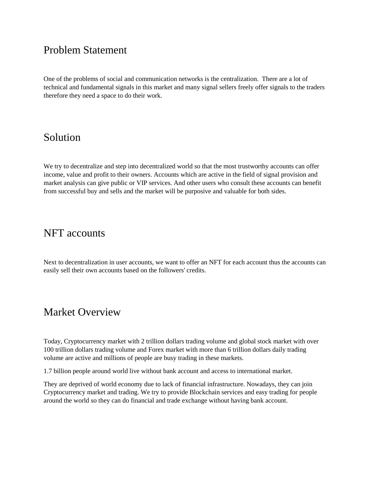## Problem Statement

One of the problems of social and communication networks is the centralization. There are a lot of technical and fundamental signals in this market and many signal sellers freely offer signals to the traders therefore they need a space to do their work.

## Solution

We try to decentralize and step into decentralized world so that the most trustworthy accounts can offer income, value and profit to their owners. Accounts which are active in the field of signal provision and market analysis can give public or VIP services. And other users who consult these accounts can benefit from successful buy and sells and the market will be purposive and valuable for both sides.

# NFT accounts

Next to decentralization in user accounts, we want to offer an NFT for each account thus the accounts can easily sell their own accounts based on the followers' credits.

## Market Overview

Today, Cryptocurrency market with 2 trillion dollars trading volume and global stock market with over 100 trillion dollars trading volume and Forex market with more than 6 trillion dollars daily trading volume are active and millions of people are busy trading in these markets.

1.7 billion people around world live without bank account and access to international market.

They are deprived of world economy due to lack of financial infrastructure. Nowadays, they can join Cryptocurrency market and trading. We try to provide Blockchain services and easy trading for people around the world so they can do financial and trade exchange without having bank account.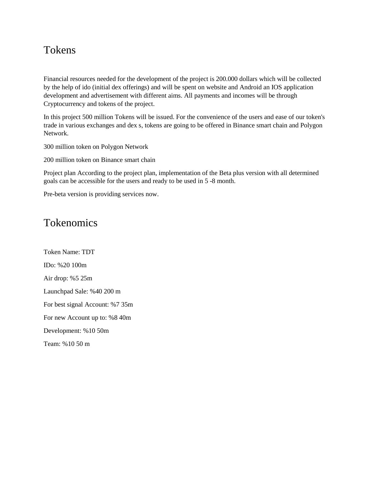# Tokens

Financial resources needed for the development of the project is 200.000 dollars which will be collected by the help of ido (initial dex offerings) and will be spent on website and Android an IOS application development and advertisement with different aims. All payments and incomes will be through Cryptocurrency and tokens of the project.

In this project 500 million Tokens will be issued. For the convenience of the users and ease of our token's trade in various exchanges and dex s, tokens are going to be offered in Binance smart chain and Polygon Network.

300 million token on Polygon Network

200 million token on Binance smart chain

Project plan According to the project plan, implementation of the Beta plus version with all determined goals can be accessible for the users and ready to be used in 5 -8 month.

Pre-beta version is providing services now.

## Tokenomics

Token Name: TDT IDo: %20 100m Air drop: %5 25m Launchpad Sale: %40 200 m For best signal Account: %7 35m For new Account up to: %8 40m Development: %10 50m Team: %10 50 m